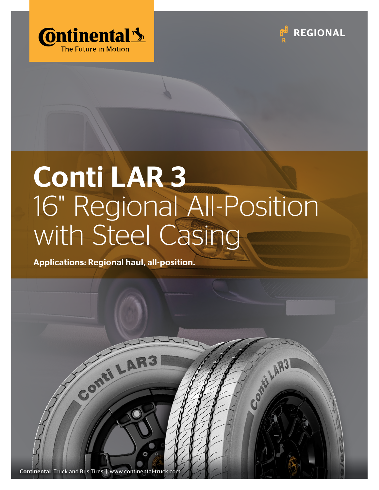



Comit LAR31

# Conti LAR 3 16" Regional All-Position with Steel Casing

Applications: Regional haul, all-position.

Continental Truck and Bus Tires | www.continental-tr

Conti LAI